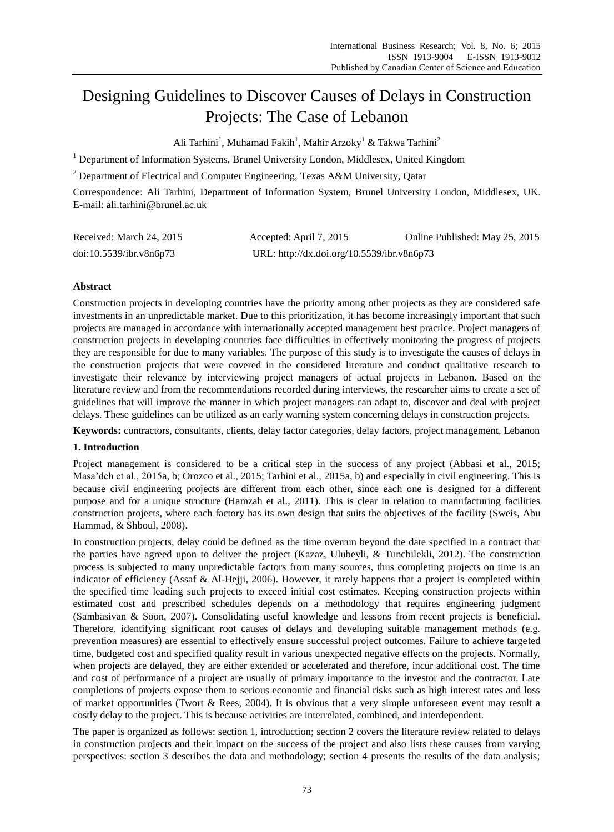# Designing Guidelines to Discover Causes of Delays in Construction Projects: The Case of Lebanon

Ali Tarhini<sup>1</sup>, Muhamad Fakih<sup>1</sup>, Mahir Arzoky<sup>1</sup> & Takwa Tarhini<sup>2</sup>

<sup>1</sup> Department of Information Systems, Brunel University London, Middlesex, United Kingdom

<sup>2</sup> Department of Electrical and Computer Engineering, Texas A&M University, Oatar

Correspondence: Ali Tarhini, Department of Information System, Brunel University London, Middlesex, UK. E-mail: ali.tarhini@brunel.ac.uk

| Received: March 24, 2015 | Accepted: April 7, 2015                    | Online Published: May 25, 2015 |
|--------------------------|--------------------------------------------|--------------------------------|
| doi:10.5539/ibr.v8n6p73  | URL: http://dx.doi.org/10.5539/ibr.v8n6p73 |                                |

## **Abstract**

Construction projects in developing countries have the priority among other projects as they are considered safe investments in an unpredictable market. Due to this prioritization, it has become increasingly important that such projects are managed in accordance with internationally accepted management best practice. Project managers of construction projects in developing countries face difficulties in effectively monitoring the progress of projects they are responsible for due to many variables. The purpose of this study is to investigate the causes of delays in the construction projects that were covered in the considered literature and conduct qualitative research to investigate their relevance by interviewing project managers of actual projects in Lebanon. Based on the literature review and from the recommendations recorded during interviews, the researcher aims to create a set of guidelines that will improve the manner in which project managers can adapt to, discover and deal with project delays. These guidelines can be utilized as an early warning system concerning delays in construction projects.

**Keywords:** contractors, consultants, clients, delay factor categories, delay factors, project management, Lebanon

## **1. Introduction**

Project management is considered to be a critical step in the success of any project (Abbasi et al., 2015; Masa"deh et al., 2015a, b; Orozco et al., 2015; Tarhini et al., 2015a, b) and especially in civil engineering. This is because civil engineering projects are different from each other, since each one is designed for a different purpose and for a unique structure (Hamzah et al., 2011). This is clear in relation to manufacturing facilities construction projects, where each factory has its own design that suits the objectives of the facility (Sweis, Abu Hammad, & Shboul, 2008).

In construction projects, delay could be defined as the time overrun beyond the date specified in a contract that the parties have agreed upon to deliver the project (Kazaz, Ulubeyli, & Tuncbilekli, 2012). The construction process is subjected to many unpredictable factors from many sources, thus completing projects on time is an indicator of efficiency (Assaf & Al-Hejji, 2006). However, it rarely happens that a project is completed within the specified time leading such projects to exceed initial cost estimates. Keeping construction projects within estimated cost and prescribed schedules depends on a methodology that requires engineering judgment (Sambasivan & Soon, 2007). Consolidating useful knowledge and lessons from recent projects is beneficial. Therefore, identifying significant root causes of delays and developing suitable management methods (e.g. prevention measures) are essential to effectively ensure successful project outcomes. Failure to achieve targeted time, budgeted cost and specified quality result in various unexpected negative effects on the projects. Normally, when projects are delayed, they are either extended or accelerated and therefore, incur additional cost. The time and cost of performance of a project are usually of primary importance to the investor and the contractor. Late completions of projects expose them to serious economic and financial risks such as high interest rates and loss of market opportunities (Twort & Rees, 2004). It is obvious that a very simple unforeseen event may result a costly delay to the project. This is because activities are interrelated, combined, and interdependent.

The paper is organized as follows: section 1, introduction; section 2 covers the literature review related to delays in construction projects and their impact on the success of the project and also lists these causes from varying perspectives: section 3 describes the data and methodology; section 4 presents the results of the data analysis;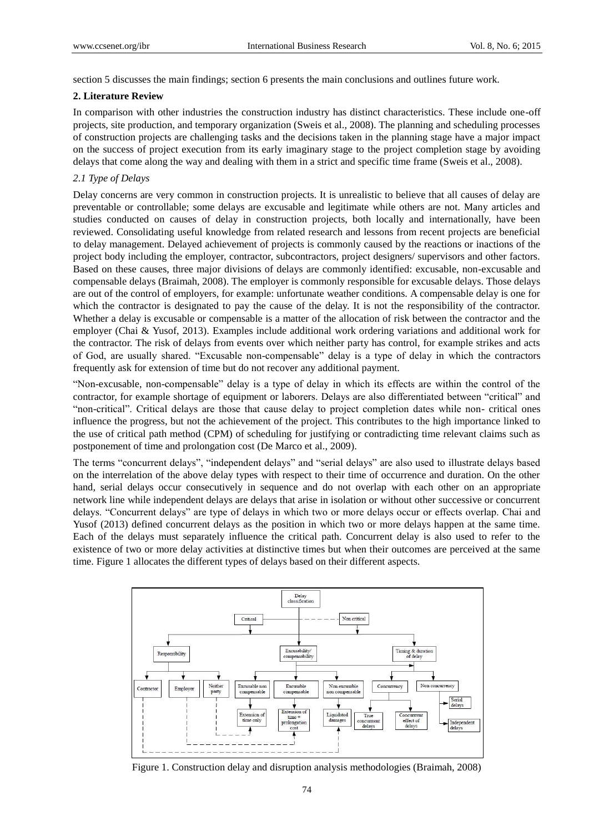section 5 discusses the main findings; section 6 presents the main conclusions and outlines future work.

#### **2. Literature Review**

In comparison with other industries the construction industry has distinct characteristics. These include one-off projects, site production, and temporary organization (Sweis et al., 2008). The planning and scheduling processes of construction projects are challenging tasks and the decisions taken in the planning stage have a major impact on the success of project execution from its early imaginary stage to the project completion stage by avoiding delays that come along the way and dealing with them in a strict and specific time frame (Sweis et al., 2008).

#### *2.1 Type of Delays*

Delay concerns are very common in construction projects. It is unrealistic to believe that all causes of delay are preventable or controllable; some delays are excusable and legitimate while others are not. Many articles and studies conducted on causes of delay in construction projects, both locally and internationally, have been reviewed. Consolidating useful knowledge from related research and lessons from recent projects are beneficial to delay management. Delayed achievement of projects is commonly caused by the reactions or inactions of the project body including the employer, contractor, subcontractors, project designers/ supervisors and other factors. Based on these causes, three major divisions of delays are commonly identified: excusable, non-excusable and compensable delays (Braimah, 2008). The employer is commonly responsible for excusable delays. Those delays are out of the control of employers, for example: unfortunate weather conditions. A compensable delay is one for which the contractor is designated to pay the cause of the delay. It is not the responsibility of the contractor. Whether a delay is excusable or compensable is a matter of the allocation of risk between the contractor and the employer (Chai & Yusof, 2013). Examples include additional work ordering variations and additional work for the contractor. The risk of delays from events over which neither party has control, for example strikes and acts of God, are usually shared. "Excusable non-compensable" delay is a type of delay in which the contractors frequently ask for extension of time but do not recover any additional payment.

"Non-excusable, non-compensable" delay is a type of delay in which its effects are within the control of the contractor, for example shortage of equipment or laborers. Delays are also differentiated between "critical" and "non-critical". Critical delays are those that cause delay to project completion dates while non- critical ones influence the progress, but not the achievement of the project. This contributes to the high importance linked to the use of critical path method (CPM) of scheduling for justifying or contradicting time relevant claims such as postponement of time and prolongation cost (De Marco et al., 2009).

The terms "concurrent delays", "independent delays" and "serial delays" are also used to illustrate delays based on the interrelation of the above delay types with respect to their time of occurrence and duration. On the other hand, serial delays occur consecutively in sequence and do not overlap with each other on an appropriate network line while independent delays are delays that arise in isolation or without other successive or concurrent delays. "Concurrent delays" are type of delays in which two or more delays occur or effects overlap. Chai and Yusof (2013) defined concurrent delays as the position in which two or more delays happen at the same time. Each of the delays must separately influence the critical path. Concurrent delay is also used to refer to the existence of two or more delay activities at distinctive times but when their outcomes are perceived at the same time. Figure 1 allocates the different types of delays based on their different aspects.



Figure 1. Construction delay and disruption analysis methodologies (Braimah, 2008)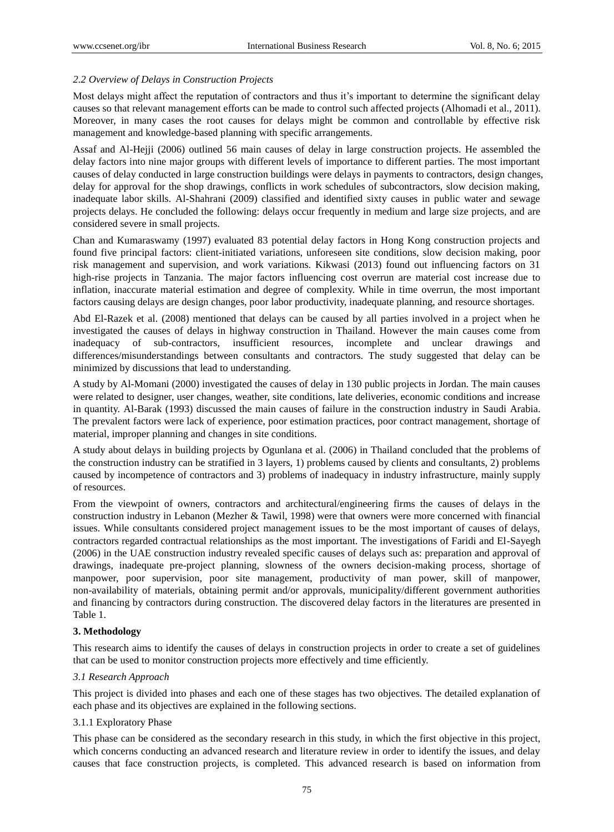## *2.2 Overview of Delays in Construction Projects*

Most delays might affect the reputation of contractors and thus it's important to determine the significant delay causes so that relevant management efforts can be made to control such affected projects (Alhomadi et al., 2011). Moreover, in many cases the root causes for delays might be common and controllable by effective risk management and knowledge-based planning with specific arrangements.

Assaf and Al-Hejji (2006) outlined 56 main causes of delay in large construction projects. He assembled the delay factors into nine major groups with different levels of importance to different parties. The most important causes of delay conducted in large construction buildings were delays in payments to contractors, design changes, delay for approval for the shop drawings, conflicts in work schedules of subcontractors, slow decision making, inadequate labor skills. Al-Shahrani (2009) classified and identified sixty causes in public water and sewage projects delays. He concluded the following: delays occur frequently in medium and large size projects, and are considered severe in small projects.

Chan and Kumaraswamy (1997) evaluated 83 potential delay factors in Hong Kong construction projects and found five principal factors: client-initiated variations, unforeseen site conditions, slow decision making, poor risk management and supervision, and work variations. Kikwasi (2013) found out influencing factors on 31 high-rise projects in Tanzania. The major factors influencing cost overrun are material cost increase due to inflation, inaccurate material estimation and degree of complexity. While in time overrun, the most important factors causing delays are design changes, poor labor productivity, inadequate planning, and resource shortages.

Abd El-Razek et al. (2008) mentioned that delays can be caused by all parties involved in a project when he investigated the causes of delays in highway construction in Thailand. However the main causes come from inadequacy of sub-contractors, insufficient resources, incomplete and unclear drawings and differences/misunderstandings between consultants and contractors. The study suggested that delay can be minimized by discussions that lead to understanding.

A study by Al-Momani (2000) investigated the causes of delay in 130 public projects in Jordan. The main causes were related to designer, user changes, weather, site conditions, late deliveries, economic conditions and increase in quantity. Al-Barak (1993) discussed the main causes of failure in the construction industry in Saudi Arabia. The prevalent factors were lack of experience, poor estimation practices, poor contract management, shortage of material, improper planning and changes in site conditions.

A study about delays in building projects by Ogunlana et al. (2006) in Thailand concluded that the problems of the construction industry can be stratified in 3 layers, 1) problems caused by clients and consultants, 2) problems caused by incompetence of contractors and 3) problems of inadequacy in industry infrastructure, mainly supply of resources.

From the viewpoint of owners, contractors and architectural/engineering firms the causes of delays in the construction industry in Lebanon (Mezher & Tawil, 1998) were that owners were more concerned with financial issues. While consultants considered project management issues to be the most important of causes of delays, contractors regarded contractual relationships as the most important. The investigations of Faridi and El-Sayegh (2006) in the UAE construction industry revealed specific causes of delays such as: preparation and approval of drawings, inadequate pre-project planning, slowness of the owners decision-making process, shortage of manpower, poor supervision, poor site management, productivity of man power, skill of manpower, non-availability of materials, obtaining permit and/or approvals, municipality/different government authorities and financing by contractors during construction. The discovered delay factors in the literatures are presented in Table 1.

## **3. Methodology**

This research aims to identify the causes of delays in construction projects in order to create a set of guidelines that can be used to monitor construction projects more effectively and time efficiently.

## *3.1 Research Approach*

This project is divided into phases and each one of these stages has two objectives. The detailed explanation of each phase and its objectives are explained in the following sections.

## 3.1.1 Exploratory Phase

This phase can be considered as the secondary research in this study, in which the first objective in this project, which concerns conducting an advanced research and literature review in order to identify the issues, and delay causes that face construction projects, is completed. This advanced research is based on information from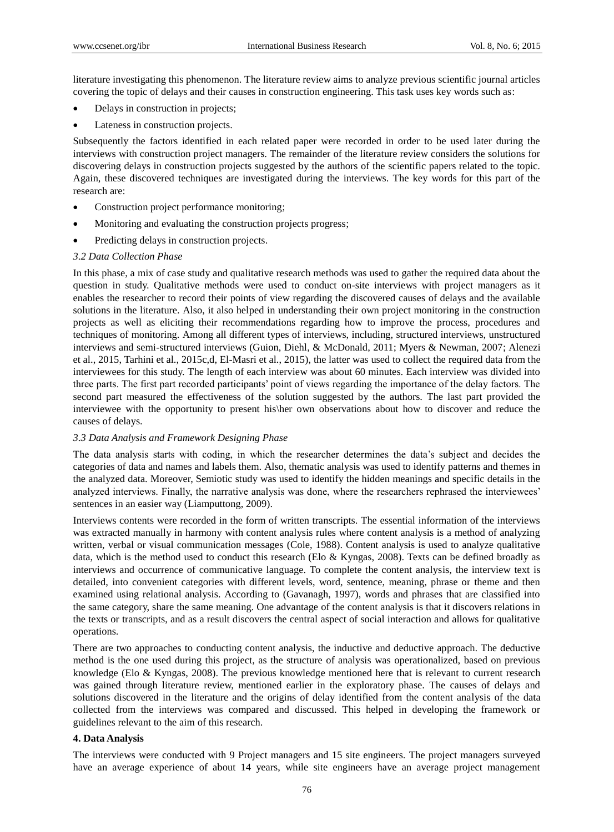literature investigating this phenomenon. The literature review aims to analyze previous scientific journal articles covering the topic of delays and their causes in construction engineering. This task uses key words such as:

- Delays in construction in projects;
- Lateness in construction projects.

Subsequently the factors identified in each related paper were recorded in order to be used later during the interviews with construction project managers. The remainder of the literature review considers the solutions for discovering delays in construction projects suggested by the authors of the scientific papers related to the topic. Again, these discovered techniques are investigated during the interviews. The key words for this part of the research are:

- Construction project performance monitoring;
- Monitoring and evaluating the construction projects progress;
- Predicting delays in construction projects.

#### *3.2 Data Collection Phase*

In this phase, a mix of case study and qualitative research methods was used to gather the required data about the question in study. Qualitative methods were used to conduct on-site interviews with project managers as it enables the researcher to record their points of view regarding the discovered causes of delays and the available solutions in the literature. Also, it also helped in understanding their own project monitoring in the construction projects as well as eliciting their recommendations regarding how to improve the process, procedures and techniques of monitoring. Among all different types of interviews, including, structured interviews, unstructured interviews and semi-structured interviews (Guion, Diehl, & McDonald, 2011; Myers & Newman, 2007; Alenezi et al., 2015, Tarhini et al., 2015c,d, El-Masri et al., 2015), the latter was used to collect the required data from the interviewees for this study. The length of each interview was about 60 minutes. Each interview was divided into three parts. The first part recorded participants" point of views regarding the importance of the delay factors. The second part measured the effectiveness of the solution suggested by the authors. The last part provided the interviewee with the opportunity to present his\her own observations about how to discover and reduce the causes of delays.

#### *3.3 Data Analysis and Framework Designing Phase*

The data analysis starts with coding, in which the researcher determines the data"s subject and decides the categories of data and names and labels them. Also, thematic analysis was used to identify patterns and themes in the analyzed data. Moreover, Semiotic study was used to identify the hidden meanings and specific details in the analyzed interviews. Finally, the narrative analysis was done, where the researchers rephrased the interviewees" sentences in an easier way (Liamputtong, 2009).

Interviews contents were recorded in the form of written transcripts. The essential information of the interviews was extracted manually in harmony with content analysis rules where content analysis is a method of analyzing written, verbal or visual communication messages (Cole, 1988). Content analysis is used to analyze qualitative data, which is the method used to conduct this research (Elo & Kyngas, 2008). Texts can be defined broadly as interviews and occurrence of communicative language. To complete the content analysis, the interview text is detailed, into convenient categories with different levels, word, sentence, meaning, phrase or theme and then examined using relational analysis. According to (Gavanagh, 1997), words and phrases that are classified into the same category, share the same meaning. One advantage of the content analysis is that it discovers relations in the texts or transcripts, and as a result discovers the central aspect of social interaction and allows for qualitative operations.

There are two approaches to conducting content analysis, the inductive and deductive approach. The deductive method is the one used during this project, as the structure of analysis was operationalized, based on previous knowledge (Elo & Kyngas, 2008). The previous knowledge mentioned here that is relevant to current research was gained through literature review, mentioned earlier in the exploratory phase. The causes of delays and solutions discovered in the literature and the origins of delay identified from the content analysis of the data collected from the interviews was compared and discussed. This helped in developing the framework or guidelines relevant to the aim of this research.

#### **4. Data Analysis**

The interviews were conducted with 9 Project managers and 15 site engineers. The project managers surveyed have an average experience of about 14 years, while site engineers have an average project management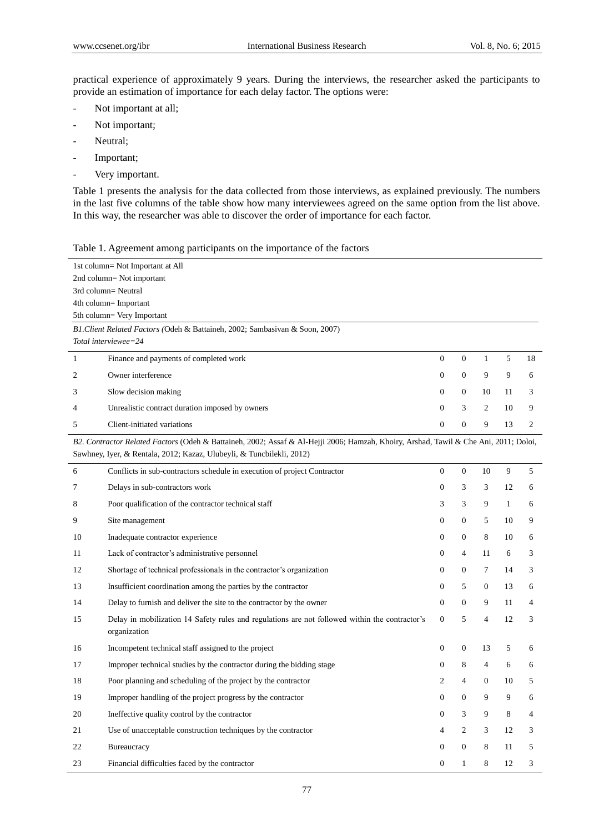practical experience of approximately 9 years. During the interviews, the researcher asked the participants to provide an estimation of importance for each delay factor. The options were:

- Not important at all;
- Not important;
- Neutral;
- Important;
- Very important.

Table 1 presents the analysis for the data collected from those interviews, as explained previously. The numbers in the last five columns of the table show how many interviewees agreed on the same option from the list above. In this way, the researcher was able to discover the order of importance for each factor.

|  |  |  | Table 1. Agreement among participants on the importance of the factors |  |
|--|--|--|------------------------------------------------------------------------|--|
|  |  |  |                                                                        |  |

|                | 1st column= Not Important at All                                                                                                     |                  |                  |                |              |                |
|----------------|--------------------------------------------------------------------------------------------------------------------------------------|------------------|------------------|----------------|--------------|----------------|
|                | 2nd column= Not important                                                                                                            |                  |                  |                |              |                |
|                | 3rd column= Neutral                                                                                                                  |                  |                  |                |              |                |
|                | 4th column= Important                                                                                                                |                  |                  |                |              |                |
|                | 5th column= Very Important                                                                                                           |                  |                  |                |              |                |
|                | B1. Client Related Factors (Odeh & Battaineh, 2002; Sambasivan & Soon, 2007)                                                         |                  |                  |                |              |                |
|                | Total interviewee=24                                                                                                                 |                  |                  |                |              |                |
| 1              | Finance and payments of completed work                                                                                               | $\overline{0}$   | $\overline{0}$   | 1              | 5            | 18             |
| $\overline{2}$ | Owner interference                                                                                                                   | $\mathbf{0}$     | $\overline{0}$   | 9              | 9            | 6              |
| 3              | Slow decision making                                                                                                                 | $\mathbf{0}$     | $\overline{0}$   | 10             | 11           | 3              |
| 4              | Unrealistic contract duration imposed by owners                                                                                      | $\mathbf{0}$     | 3                | 2              | 10           | 9              |
| 5              | Client-initiated variations                                                                                                          | $\Omega$         | $\overline{0}$   | 9              | 13           | $\overline{c}$ |
|                | B2. Contractor Related Factors (Odeh & Battaineh, 2002; Assaf & Al-Hejji 2006; Hamzah, Khoiry, Arshad, Tawil & Che Ani, 2011; Doloi, |                  |                  |                |              |                |
|                | Sawhney, Iyer, & Rentala, 2012; Kazaz, Ulubeyli, & Tuncbilekli, 2012)                                                                |                  |                  |                |              |                |
| 6              | Conflicts in sub-contractors schedule in execution of project Contractor                                                             | $\overline{0}$   | $\boldsymbol{0}$ | 10             | 9            | 5              |
| $\tau$         | Delays in sub-contractors work                                                                                                       | $\mathbf{0}$     | 3                | 3              | 12           | 6              |
| 8              | Poor qualification of the contractor technical staff                                                                                 | 3                | 3                | 9              | $\mathbf{1}$ | 6              |
| 9              | Site management                                                                                                                      | $\mathbf{0}$     | $\overline{0}$   | 5              | 10           | 9              |
| 10             | Inadequate contractor experience                                                                                                     | 0                | 0                | 8              | 10           | 6              |
| 11             | Lack of contractor's administrative personnel                                                                                        | $\mathbf{0}$     | $\overline{4}$   | 11             | 6            | 3              |
| 12             | Shortage of technical professionals in the contractor's organization                                                                 | $\mathbf{0}$     | $\overline{0}$   | $\tau$         | 14           | 3              |
| 13             | Insufficient coordination among the parties by the contractor                                                                        | $\Omega$         | 5                | $\mathbf{0}$   | 13           | 6              |
| 14             | Delay to furnish and deliver the site to the contractor by the owner                                                                 | $\Omega$         | $\Omega$         | 9              | 11           | $\overline{4}$ |
| 15             | Delay in mobilization 14 Safety rules and regulations are not followed within the contractor's<br>organization                       | $\boldsymbol{0}$ | 5                | $\overline{4}$ | 12           | 3              |
| 16             | Incompetent technical staff assigned to the project                                                                                  | $\mathbf{0}$     | $\boldsymbol{0}$ | 13             | 5            | 6              |
| 17             | Improper technical studies by the contractor during the bidding stage                                                                | $\mathbf{0}$     | 8                | 4              | 6            | 6              |
| 18             | Poor planning and scheduling of the project by the contractor                                                                        | 2                | $\overline{4}$   | $\mathbf{0}$   | 10           | 5              |
| 19             | Improper handling of the project progress by the contractor                                                                          | $\mathbf{0}$     | $\overline{0}$   | 9              | 9            | 6              |
| 20             | Ineffective quality control by the contractor                                                                                        | $\mathbf{0}$     | 3                | 9              | 8            | 4              |
| 21             | Use of unacceptable construction techniques by the contractor                                                                        | 4                | $\overline{c}$   | 3              | 12           | 3              |
| 22             | Bureaucracy                                                                                                                          | $\mathbf{0}$     | $\overline{0}$   | 8              | 11           | 5              |
| 23             | Financial difficulties faced by the contractor                                                                                       | $\mathbf{0}$     | $\mathbf{1}$     | 8              | 12           | 3              |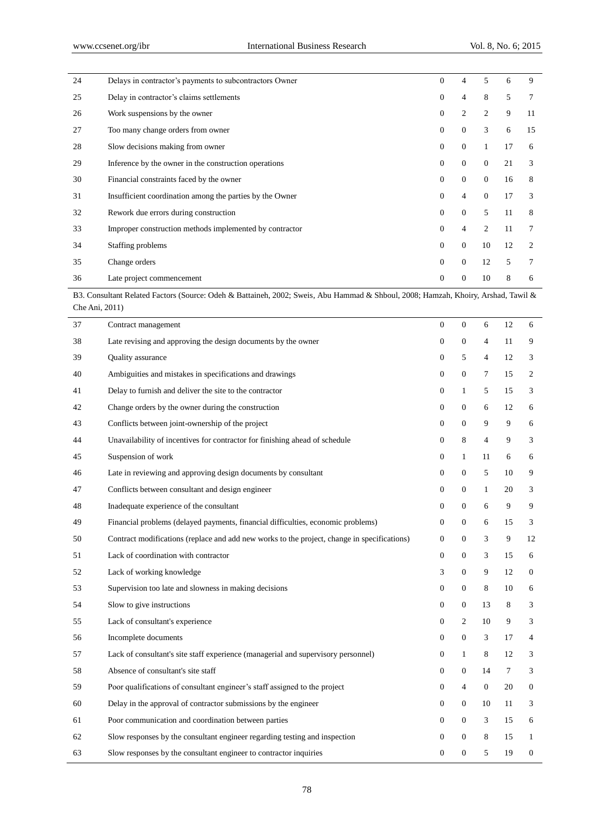l,

| 24 | Delays in contractor's payments to subcontractors Owner  | $\Omega$     | $\overline{4}$ | 5              | 6  | 9  |
|----|----------------------------------------------------------|--------------|----------------|----------------|----|----|
| 25 | Delay in contractor's claims settlements                 | $\Omega$     | $\overline{4}$ | 8              | 5  | 7  |
| 26 | Work suspensions by the owner                            | $\Omega$     | $\overline{2}$ | $\overline{2}$ | 9  | 11 |
| 27 | Too many change orders from owner                        | $\mathbf{0}$ | $\mathbf{0}$   | 3              | 6  | 15 |
| 28 | Slow decisions making from owner                         | $\Omega$     | $\theta$       | 1              | 17 | 6  |
| 29 | Inference by the owner in the construction operations    | $\Omega$     | $\Omega$       | $\mathbf{0}$   | 21 | 3  |
| 30 | Financial constraints faced by the owner                 | $\Omega$     | $\theta$       | $\overline{0}$ | 16 | 8  |
| 31 | Insufficient coordination among the parties by the Owner | $\Omega$     | $\overline{4}$ | $\overline{0}$ | 17 | 3  |
| 32 | Rework due errors during construction                    | $\mathbf{0}$ | $\mathbf{0}$   | 5              | 11 | 8  |
| 33 | Improper construction methods implemented by contractor  | $\Omega$     | $\overline{4}$ | 2              | 11 | 7  |
| 34 | Staffing problems                                        | $\mathbf{0}$ | $\theta$       | 10             | 12 | 2  |
| 35 | Change orders                                            | $\mathbf{0}$ | $\mathbf{0}$   | 12             | 5  | 7  |
| 36 | Late project commencement                                | $\mathbf{0}$ | $\theta$       | 10             | 8  | 6  |

B3. Consultant Related Factors (Source: Odeh & Battaineh, 2002; Sweis, Abu Hammad & Shboul, 2008; Hamzah, Khoiry, Arshad, Tawil & Che Ani, 2011)

| 37 | Contract management                                                                         | $\mathbf{0}$     | $\boldsymbol{0}$ | 6              | 12     | 6                |
|----|---------------------------------------------------------------------------------------------|------------------|------------------|----------------|--------|------------------|
| 38 | Late revising and approving the design documents by the owner                               | $\boldsymbol{0}$ | $\boldsymbol{0}$ | $\overline{4}$ | 11     | 9                |
| 39 | Quality assurance                                                                           | $\mathbf{0}$     | 5                | 4              | 12     | 3                |
| 40 | Ambiguities and mistakes in specifications and drawings                                     | $\mathbf{0}$     | $\boldsymbol{0}$ | $\tau$         | 15     | 2                |
| 41 | Delay to furnish and deliver the site to the contractor                                     | $\boldsymbol{0}$ | $\mathbf{1}$     | 5              | 15     | 3                |
| 42 | Change orders by the owner during the construction                                          | $\mathbf{0}$     | $\boldsymbol{0}$ | 6              | 12     | 6                |
| 43 | Conflicts between joint-ownership of the project                                            | $\mathbf{0}$     | $\boldsymbol{0}$ | 9              | 9      | 6                |
| 44 | Unavailability of incentives for contractor for finishing ahead of schedule                 | $\boldsymbol{0}$ | $\,$ 8 $\,$      | $\overline{4}$ | 9      | 3                |
| 45 | Suspension of work                                                                          | $\mathbf{0}$     | $\mathbf{1}$     | 11             | 6      | 6                |
| 46 | Late in reviewing and approving design documents by consultant                              | $\boldsymbol{0}$ | $\boldsymbol{0}$ | 5              | 10     | 9                |
| 47 | Conflicts between consultant and design engineer                                            | $\boldsymbol{0}$ | $\boldsymbol{0}$ | $\mathbf{1}$   | 20     | 3                |
| 48 | Inadequate experience of the consultant                                                     | $\mathbf{0}$     | $\boldsymbol{0}$ | 6              | 9      | 9                |
| 49 | Financial problems (delayed payments, financial difficulties, economic problems)            | $\boldsymbol{0}$ | $\boldsymbol{0}$ | 6              | 15     | 3                |
| 50 | Contract modifications (replace and add new works to the project, change in specifications) | $\mathbf{0}$     | $\overline{0}$   | 3              | 9      | 12               |
| 51 | Lack of coordination with contractor                                                        | $\mathbf{0}$     | $\boldsymbol{0}$ | 3              | 15     | 6                |
| 52 | Lack of working knowledge                                                                   | 3                | $\boldsymbol{0}$ | 9              | 12     | 0                |
| 53 | Supervision too late and slowness in making decisions                                       | $\mathbf{0}$     | $\boldsymbol{0}$ | 8              | 10     | 6                |
| 54 | Slow to give instructions                                                                   | $\overline{0}$   | $\boldsymbol{0}$ | 13             | 8      | 3                |
| 55 | Lack of consultant's experience                                                             | $\boldsymbol{0}$ | $\boldsymbol{2}$ | 10             | 9      | 3                |
| 56 | Incomplete documents                                                                        | $\mathbf{0}$     | $\boldsymbol{0}$ | 3              | 17     | 4                |
| 57 | Lack of consultant's site staff experience (managerial and supervisory personnel)           | $\boldsymbol{0}$ | $\mathbf{1}$     | $\,8\,$        | 12     | 3                |
| 58 | Absence of consultant's site staff                                                          | $\boldsymbol{0}$ | $\boldsymbol{0}$ | 14             | $\tau$ | 3                |
| 59 | Poor qualifications of consultant engineer's staff assigned to the project                  | $\mathbf{0}$     | $\overline{4}$   | $\mathbf{0}$   | 20     | $\mathbf{0}$     |
| 60 | Delay in the approval of contractor submissions by the engineer                             | $\boldsymbol{0}$ | $\boldsymbol{0}$ | 10             | 11     | 3                |
| 61 | Poor communication and coordination between parties                                         | $\boldsymbol{0}$ | $\boldsymbol{0}$ | 3              | 15     | 6                |
| 62 | Slow responses by the consultant engineer regarding testing and inspection                  | $\mathbf{0}$     | $\overline{0}$   | 8              | 15     | 1                |
| 63 | Slow responses by the consultant engineer to contractor inquiries                           | $\boldsymbol{0}$ | $\mathbf{0}$     | 5              | 19     | $\boldsymbol{0}$ |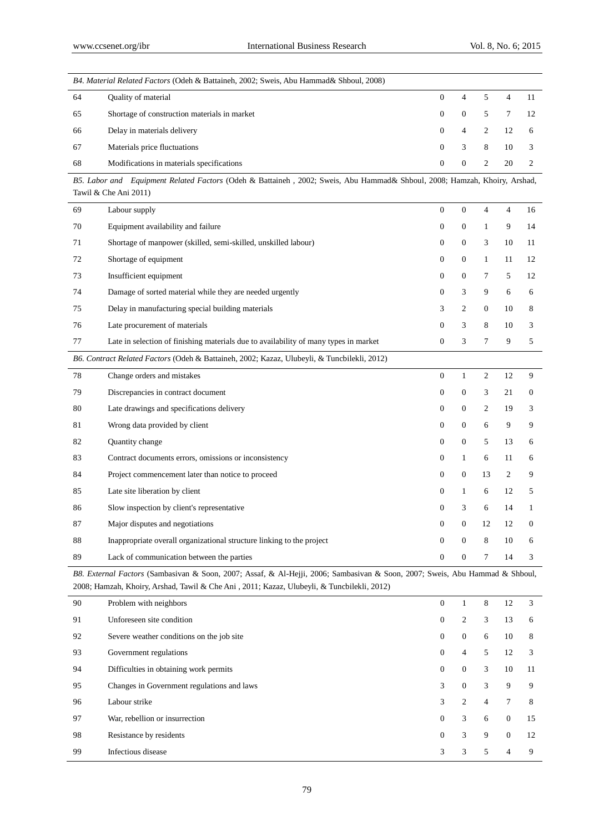|    | B4. Material Related Factors (Odeh & Battaineh, 2002; Sweis, Abu Hammad& Shboul, 2008)                                                             |                  |                  |                |                |              |  |  |  |
|----|----------------------------------------------------------------------------------------------------------------------------------------------------|------------------|------------------|----------------|----------------|--------------|--|--|--|
| 64 | Quality of material                                                                                                                                | $\boldsymbol{0}$ | $\overline{4}$   | 5              | $\overline{4}$ | 11           |  |  |  |
| 65 | Shortage of construction materials in market                                                                                                       | $\boldsymbol{0}$ | $\boldsymbol{0}$ | 5              | $\tau$         | 12           |  |  |  |
| 66 | Delay in materials delivery                                                                                                                        | 0                | $\overline{4}$   | 2              | 12             | 6            |  |  |  |
| 67 | Materials price fluctuations                                                                                                                       | $\mathbf{0}$     | 3                | 8              | 10             | 3            |  |  |  |
| 68 | Modifications in materials specifications                                                                                                          | $\overline{0}$   | $\boldsymbol{0}$ | 2              | 20             | 2            |  |  |  |
|    | B5. Labor and Equipment Related Factors (Odeh & Battaineh, 2002; Sweis, Abu Hammad& Shboul, 2008; Hamzah, Khoiry, Arshad,<br>Tawil & Che Ani 2011) |                  |                  |                |                |              |  |  |  |
| 69 | Labour supply                                                                                                                                      | $\overline{0}$   | $\boldsymbol{0}$ | $\overline{4}$ | $\overline{4}$ | 16           |  |  |  |
| 70 | Equipment availability and failure                                                                                                                 | $\mathbf{0}$     | $\overline{0}$   | $\mathbf{1}$   | 9              | 14           |  |  |  |
| 71 | Shortage of manpower (skilled, semi-skilled, unskilled labour)                                                                                     | $\mathbf{0}$     | $\theta$         | 3              | 10             | 11           |  |  |  |
| 72 | Shortage of equipment                                                                                                                              | $\mathbf{0}$     | $\overline{0}$   | $\mathbf{1}$   | 11             | 12           |  |  |  |
| 73 | Insufficient equipment                                                                                                                             | $\mathbf{0}$     | $\overline{0}$   | $\tau$         | 5              | 12           |  |  |  |
| 74 | Damage of sorted material while they are needed urgently                                                                                           | $\mathbf{0}$     | 3                | 9              | 6              | 6            |  |  |  |
| 75 | Delay in manufacturing special building materials                                                                                                  | 3                | 2                | $\overline{0}$ | 10             | 8            |  |  |  |
| 76 | Late procurement of materials                                                                                                                      | $\mathbf{0}$     | 3                | 8              | 10             | 3            |  |  |  |
| 77 | Late in selection of finishing materials due to availability of many types in market                                                               | $\mathbf{0}$     | 3                | $\tau$         | 9              | 5            |  |  |  |
|    | B6. Contract Related Factors (Odeh & Battaineh, 2002; Kazaz, Ulubeyli, & Tuncbilekli, 2012)                                                        |                  |                  |                |                |              |  |  |  |
| 78 | Change orders and mistakes                                                                                                                         | $\mathbf{0}$     | $\mathbf{1}$     | 2              | 12             | 9            |  |  |  |
| 79 | Discrepancies in contract document                                                                                                                 | $\mathbf{0}$     | $\mathbf{0}$     | 3              | 21             | $\mathbf{0}$ |  |  |  |
| 80 | Late drawings and specifications delivery                                                                                                          | $\mathbf{0}$     | $\overline{0}$   | 2              | 19             | 3            |  |  |  |
| 81 | Wrong data provided by client                                                                                                                      | $\mathbf{0}$     | $\theta$         | 6              | 9              | 9            |  |  |  |
| 82 | Quantity change                                                                                                                                    | $\mathbf{0}$     | $\mathbf{0}$     | 5              | 13             | 6            |  |  |  |
| 83 | Contract documents errors, omissions or inconsistency                                                                                              | $\mathbf{0}$     | $\mathbf{1}$     | 6              | 11             | 6            |  |  |  |
| 84 | Project commencement later than notice to proceed                                                                                                  | $\mathbf{0}$     | $\mathbf{0}$     | 13             | 2              | 9            |  |  |  |
| 85 | Late site liberation by client                                                                                                                     | $\mathbf{0}$     | $\mathbf{1}$     | 6              | 12             | 5            |  |  |  |
| 86 | Slow inspection by client's representative                                                                                                         | $\mathbf{0}$     | 3                | 6              | 14             | 1            |  |  |  |
| 87 | Major disputes and negotiations                                                                                                                    | 0                | $\boldsymbol{0}$ | 12             | 12             | $\theta$     |  |  |  |
| 88 | Inappropriate overall organizational structure linking to the project                                                                              | $\mathbf{0}$     | $\theta$         | 8              | 10             | 6            |  |  |  |
| 89 | Lack of communication between the parties                                                                                                          | $\mathbf{0}$     | $\overline{0}$   | 7              | 14             | 3            |  |  |  |

*B8. External Factors* (Sambasivan & Soon, 2007; Assaf, & Al-Hejji, 2006; Sambasivan & Soon, 2007; Sweis, Abu Hammad & Shboul, 2008; Hamzah, Khoiry, Arshad, Tawil & Che Ani , 2011; Kazaz, Ulubeyli, & Tuncbilekli, 2012)

| 90 | Problem with neighbors                     | $\overline{0}$ |                | 8 | 12       | 3  |
|----|--------------------------------------------|----------------|----------------|---|----------|----|
| 91 | Unforeseen site condition                  | $\overline{0}$ | 2              | 3 | 13       | 6  |
| 92 | Severe weather conditions on the job site  | $\overline{0}$ | $\overline{0}$ | 6 | 10       | 8  |
| 93 | Government regulations                     | $\overline{0}$ | 4              | 5 | 12       | 3  |
| 94 | Difficulties in obtaining work permits     | $\overline{0}$ | $\mathbf{0}$   | 3 | 10       | 11 |
| 95 | Changes in Government regulations and laws | 3              | $\mathbf{0}$   | 3 | 9        | 9  |
| 96 | Labour strike                              | 3              | 2              | 4 | 7        | 8  |
| 97 | War, rebellion or insurrection             | $\overline{0}$ | 3              | 6 | $\Omega$ | 15 |
| 98 | Resistance by residents                    | $\overline{0}$ | 3              | 9 | $\Omega$ | 12 |
| 99 | Infectious disease                         | 3              | 3              | 5 | 4        | 9  |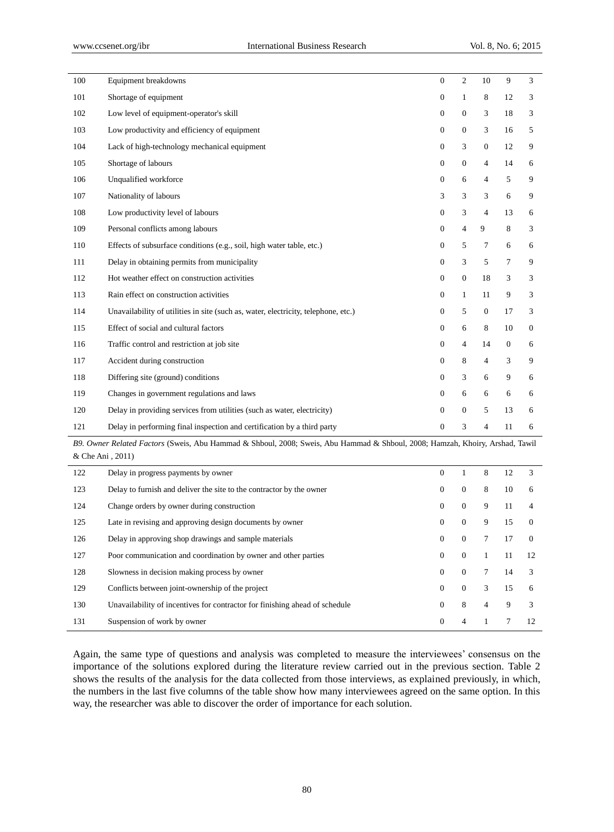l,

| 100 | Equipment breakdowns                                                               | $\overline{0}$   | $\overline{2}$   | 10             | 9                | 3              |
|-----|------------------------------------------------------------------------------------|------------------|------------------|----------------|------------------|----------------|
| 101 | Shortage of equipment                                                              | $\overline{0}$   | 1                | 8              | 12               | 3              |
| 102 | Low level of equipment-operator's skill                                            | $\boldsymbol{0}$ | $\boldsymbol{0}$ | 3              | 18               | 3              |
| 103 | Low productivity and efficiency of equipment                                       | $\overline{0}$   | $\boldsymbol{0}$ | 3              | 16               | 5              |
| 104 | Lack of high-technology mechanical equipment                                       | $\overline{0}$   | 3                | $\mathbf{0}$   | 12               | 9              |
| 105 | Shortage of labours                                                                | $\overline{0}$   | $\boldsymbol{0}$ | $\overline{4}$ | 14               | 6              |
| 106 | Unqualified workforce                                                              | $\overline{0}$   | 6                | 4              | 5                | 9              |
| 107 | Nationality of labours                                                             | 3                | 3                | 3              | 6                | 9              |
| 108 | Low productivity level of labours                                                  | $\overline{0}$   | 3                | $\overline{4}$ | 13               | 6              |
| 109 | Personal conflicts among labours                                                   | $\boldsymbol{0}$ | 4                | $\overline{9}$ | 8                | 3              |
| 110 | Effects of subsurface conditions (e.g., soil, high water table, etc.)              | $\overline{0}$   | 5                | $\tau$         | 6                | 6              |
| 111 | Delay in obtaining permits from municipality                                       | $\overline{0}$   | 3                | 5              | $\overline{7}$   | 9              |
| 112 | Hot weather effect on construction activities                                      | $\overline{0}$   | $\boldsymbol{0}$ | 18             | 3                | 3              |
| 113 | Rain effect on construction activities                                             | $\overline{0}$   | $\mathbf{1}$     | 11             | 9                | 3              |
| 114 | Unavailability of utilities in site (such as, water, electricity, telephone, etc.) | $\overline{0}$   | 5                | $\mathbf{0}$   | 17               | 3              |
| 115 | Effect of social and cultural factors                                              | $\overline{0}$   | 6                | 8              | 10               | $\overline{0}$ |
| 116 | Traffic control and restriction at job site                                        | $\overline{0}$   | $\overline{4}$   | 14             | $\boldsymbol{0}$ | 6              |
| 117 | Accident during construction                                                       | $\overline{0}$   | 8                | 4              | 3                | 9              |
| 118 | Differing site (ground) conditions                                                 | $\overline{0}$   | 3                | 6              | 9                | 6              |
| 119 | Changes in government regulations and laws                                         | $\overline{0}$   | 6                | 6              | 6                | 6              |
| 120 | Delay in providing services from utilities (such as water, electricity)            | $\overline{0}$   | $\boldsymbol{0}$ | 5              | 13               | 6              |
| 121 | Delay in performing final inspection and certification by a third party            | $\overline{0}$   | 3                | $\overline{4}$ | 11               | 6              |
|     | 10011<br>$1.0.011 - 1.0000 - 0$                                                    |                  |                  |                |                  |                |

*B9. Owner Related Factors* (Sweis, Abu Hammad & Shboul, 2008; Sweis, Abu Hammad & Shboul, 2008; Hamzah, Khoiry, Arshad, Tawil & Che Ani , 2011)

| 122 | Delay in progress payments by owner                                         | $\Omega$ | 1              | 8               | 12 | 3             |
|-----|-----------------------------------------------------------------------------|----------|----------------|-----------------|----|---------------|
| 123 | Delay to furnish and deliver the site to the contractor by the owner        | $\theta$ | $\theta$       | 8               | 10 | 6             |
| 124 | Change orders by owner during construction                                  | $\Omega$ | $\theta$       | 9               | 11 |               |
| 125 | Late in revising and approving design documents by owner                    | $\Omega$ | $\theta$       | 9               | 15 | $\Omega$      |
| 126 | Delay in approving shop drawings and sample materials                       | $\Omega$ | $\overline{0}$ | $\tau$          | 17 | $\Omega$      |
| 127 | Poor communication and coordination by owner and other parties              | $\Omega$ | $\theta$       | $\mathbf{1}$    | 11 | 12            |
| 128 | Slowness in decision making process by owner                                | $\Omega$ | $\theta$       | $7\overline{ }$ | 14 | $\mathcal{R}$ |
| 129 | Conflicts between joint-ownership of the project                            | $\Omega$ | $\overline{0}$ | 3               | 15 | 6             |
| 130 | Unavailability of incentives for contractor for finishing ahead of schedule | $\Omega$ | 8              | 4               | 9  | 3             |
| 131 | Suspension of work by owner                                                 | $\Omega$ | 4              |                 |    | 12            |

Again, the same type of questions and analysis was completed to measure the interviewees" consensus on the importance of the solutions explored during the literature review carried out in the previous section. Table 2 shows the results of the analysis for the data collected from those interviews, as explained previously, in which, the numbers in the last five columns of the table show how many interviewees agreed on the same option. In this way, the researcher was able to discover the order of importance for each solution.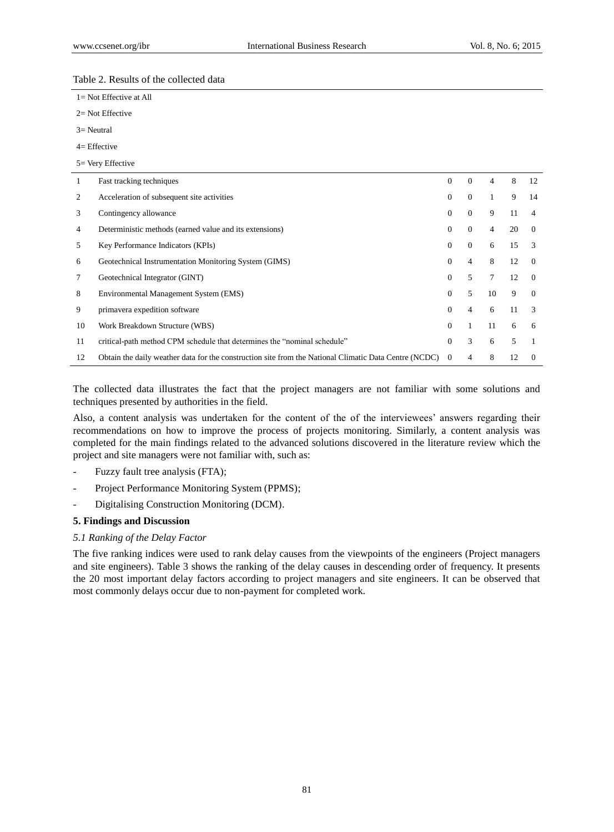## Table 2. Results of the collected data

| $1 = Not$ Effective at All |  |
|----------------------------|--|
| $2=$ Not Effective         |  |

- 3= Neutral
- 4= Effective

## 5= Very Effective

| 1  | Fast tracking techniques                                                                              | $\Omega$ | $\Omega$ | 4  | 8  | 12             |
|----|-------------------------------------------------------------------------------------------------------|----------|----------|----|----|----------------|
| 2  | Acceleration of subsequent site activities                                                            | 0        | $\Omega$ |    | 9  | 14             |
| 3  | Contingency allowance                                                                                 | $\Omega$ | $\Omega$ | 9  | 11 | $\overline{4}$ |
| 4  | Deterministic methods (earned value and its extensions)                                               | $\Omega$ | $\Omega$ | 4  | 20 | $\Omega$       |
| 5  | Key Performance Indicators (KPIs)                                                                     | $\Omega$ | $\Omega$ | 6  | 15 | $\mathcal{R}$  |
| 6  | Geotechnical Instrumentation Monitoring System (GIMS)                                                 | $\Omega$ | 4        | 8  | 12 | $\Omega$       |
| 7  | Geotechnical Integrator (GINT)                                                                        | $\Omega$ | 5        | 7  | 12 | $\Omega$       |
| 8  | Environmental Management System (EMS)                                                                 | $\Omega$ | 5.       | 10 | 9  | $\Omega$       |
| 9  | primavera expedition software                                                                         | $\Omega$ | 4        | 6  | 11 | 3              |
| 10 | Work Breakdown Structure (WBS)                                                                        | $\Omega$ |          | 11 | 6  | 6              |
| 11 | critical-path method CPM schedule that determines the "nominal schedule"                              | $\Omega$ | 3        | 6  | 5  |                |
| 12 | Obtain the daily weather data for the construction site from the National Climatic Data Centre (NCDC) | $\Omega$ | 4        | 8  | 12 | $\Omega$       |

The collected data illustrates the fact that the project managers are not familiar with some solutions and techniques presented by authorities in the field.

Also, a content analysis was undertaken for the content of the of the interviewees" answers regarding their recommendations on how to improve the process of projects monitoring. Similarly, a content analysis was completed for the main findings related to the advanced solutions discovered in the literature review which the project and site managers were not familiar with, such as:

- Fuzzy fault tree analysis (FTA);
- Project Performance Monitoring System (PPMS);
- Digitalising Construction Monitoring (DCM).

#### **5. Findings and Discussion**

## *5.1 Ranking of the Delay Factor*

The five ranking indices were used to rank delay causes from the viewpoints of the engineers (Project managers and site engineers). Table 3 shows the ranking of the delay causes in descending order of frequency. It presents the 20 most important delay factors according to project managers and site engineers. It can be observed that most commonly delays occur due to non-payment for completed work.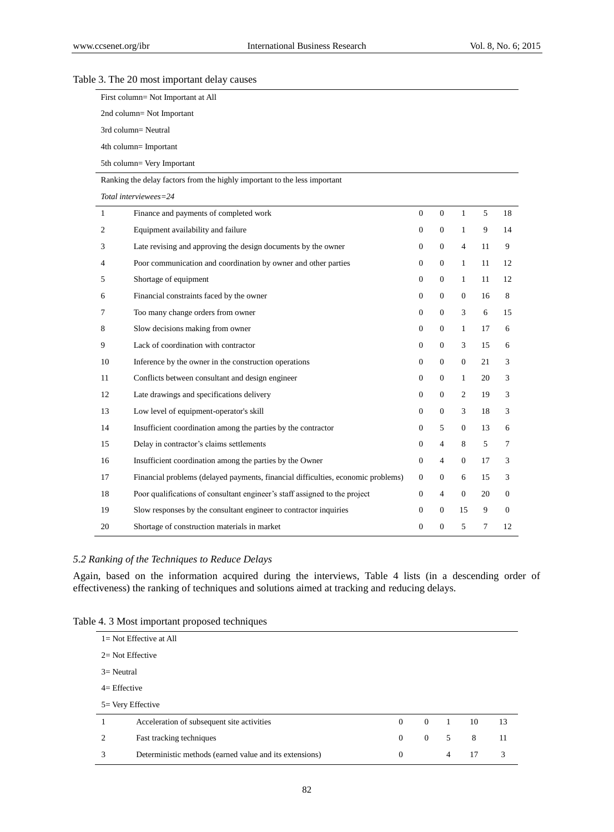## First column= Not Important at All 2nd column= Not Important 3rd column= Neutral 4th column= Important 5th column= Very Important Ranking the delay factors from the highly important to the less important *Total interviewees=24* 1 Finance and payments of completed work 0 0 1 5 18 2 Equipment availability and failure 0 0 1 9 14 3 Late revising and approving the design documents by the owner 0 0 4 11 9 4 Poor communication and coordination by owner and other parties 0 0 1 11 12 5 Shortage of equipment 0 0 1 11 12 6 Financial constraints faced by the owner 0 0 0 16 8 7 Too many change orders from owner 0 0 3 6 15 8 Slow decisions making from owner 0 0 0 1 17 6 9 Lack of coordination with contractor 0 0 3 15 6 10 Inference by the owner in the construction operations 0 0 0 21 3 11 Conflicts between consultant and design engineer 0 0 1 20 3 12 Late drawings and specifications delivery 0 0 2 19 3 13 Low level of equipment-operator's skill 0 0 3 18 3 14 Insufficient coordination among the parties by the contractor 0 5 0 13 6 15 Delay in contractor's claims settlements 0 4 8 5 7 16 Insufficient coordination among the parties by the Owner 0 4 0 17 3 17 Financial problems (delayed payments, financial difficulties, economic problems) 0 0 6 15 3 18 Poor qualifications of consultant engineer's staff assigned to the project 0 4 0 20 0 19 Slow responses by the consultant engineer to contractor inquiries 0 0 0 15 9 0 20 Shortage of construction materials in market 0 0 5 7 12

#### Table 3. The 20 most important delay causes

#### *5.2 Ranking of the Techniques to Reduce Delays*

Again, based on the information acquired during the interviews, Table 4 lists (in a descending order of effectiveness) the ranking of techniques and solutions aimed at tracking and reducing delays.

| $1 = Not$ Effective at All  |                                                         |          |          |   |    |    |
|-----------------------------|---------------------------------------------------------|----------|----------|---|----|----|
| $2 = Not$ Effective         |                                                         |          |          |   |    |    |
| $3=$ Neutral                |                                                         |          |          |   |    |    |
| $4=$ Effective              |                                                         |          |          |   |    |    |
| 5 = Very Effective          |                                                         |          |          |   |    |    |
|                             | Acceleration of subsequent site activities              | $\Omega$ | $\theta$ | 1 | 10 | 13 |
| $\mathcal{D}_{\mathcal{L}}$ | Fast tracking techniques                                | $\Omega$ | $\theta$ | 5 | 8  | 11 |
| 3                           | Deterministic methods (earned value and its extensions) | $\Omega$ |          | 4 | 17 | 3  |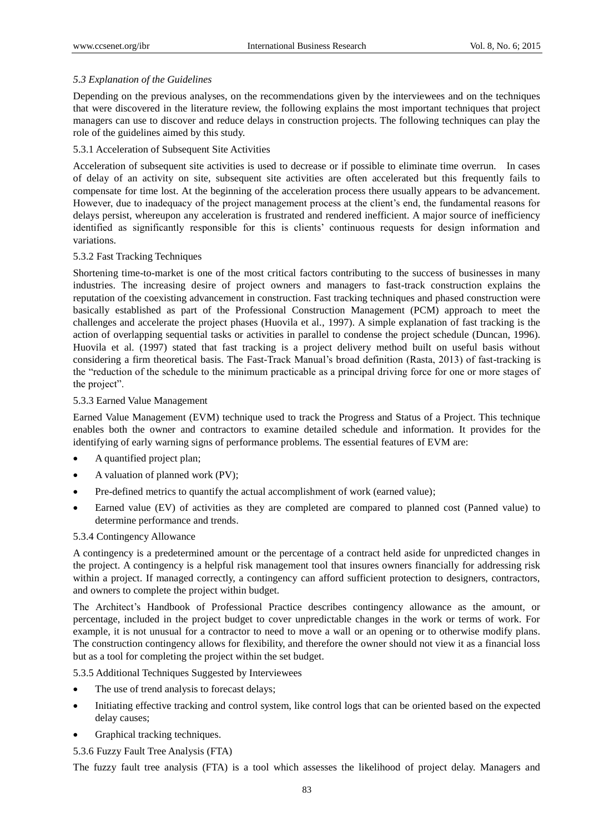## *5.3 Explanation of the Guidelines*

Depending on the previous analyses, on the recommendations given by the interviewees and on the techniques that were discovered in the literature review, the following explains the most important techniques that project managers can use to discover and reduce delays in construction projects. The following techniques can play the role of the guidelines aimed by this study.

## 5.3.1 Acceleration of Subsequent Site Activities

Acceleration of subsequent site activities is used to decrease or if possible to eliminate time overrun. In cases of delay of an activity on site, subsequent site activities are often accelerated but this frequently fails to compensate for time lost. At the beginning of the acceleration process there usually appears to be advancement. However, due to inadequacy of the project management process at the client"s end, the fundamental reasons for delays persist, whereupon any acceleration is frustrated and rendered inefficient. A major source of inefficiency identified as significantly responsible for this is clients" continuous requests for design information and variations.

## 5.3.2 Fast Tracking Techniques

Shortening time-to-market is one of the most critical factors contributing to the success of businesses in many industries. The increasing desire of project owners and managers to fast-track construction explains the reputation of the coexisting advancement in construction. Fast tracking techniques and phased construction were basically established as part of the Professional Construction Management (PCM) approach to meet the challenges and accelerate the project phases (Huovila et al., 1997). A simple explanation of fast tracking is the action of overlapping sequential tasks or activities in parallel to condense the project schedule (Duncan, 1996). Huovila et al. (1997) stated that fast tracking is a project delivery method built on useful basis without considering a firm theoretical basis. The Fast-Track Manual"s broad definition (Rasta, 2013) of fast-tracking is the "reduction of the schedule to the minimum practicable as a principal driving force for one or more stages of the project".

## 5.3.3 Earned Value Management

Earned Value Management (EVM) technique used to track the Progress and Status of a Project. This technique enables both the owner and contractors to examine detailed schedule and information. It provides for the identifying of early warning signs of performance problems. The essential features of EVM are:

- A quantified project plan;
- A valuation of planned work (PV);
- Pre-defined metrics to quantify the actual accomplishment of work (earned value);
- Earned value (EV) of activities as they are completed are compared to planned cost (Panned value) to determine performance and trends.

## 5.3.4 Contingency Allowance

A contingency is a predetermined amount or the percentage of a contract held aside for unpredicted changes in the project. A contingency is a helpful risk management tool that insures owners financially for addressing risk within a project. If managed correctly, a contingency can afford sufficient protection to designers, contractors, and owners to complete the project within budget.

The Architect"s Handbook of Professional Practice describes contingency allowance as the amount, or percentage, included in the project budget to cover unpredictable changes in the work or terms of work. For example, it is not unusual for a contractor to need to move a wall or an opening or to otherwise modify plans. The construction contingency allows for flexibility, and therefore the owner should not view it as a financial loss but as a tool for completing the project within the set budget.

5.3.5 Additional Techniques Suggested by Interviewees

- The use of trend analysis to forecast delays;
- Initiating effective tracking and control system, like control logs that can be oriented based on the expected delay causes;
- Graphical tracking techniques.
- 5.3.6 Fuzzy Fault Tree Analysis (FTA)

The fuzzy fault tree analysis (FTA) is a tool which assesses the likelihood of project delay. Managers and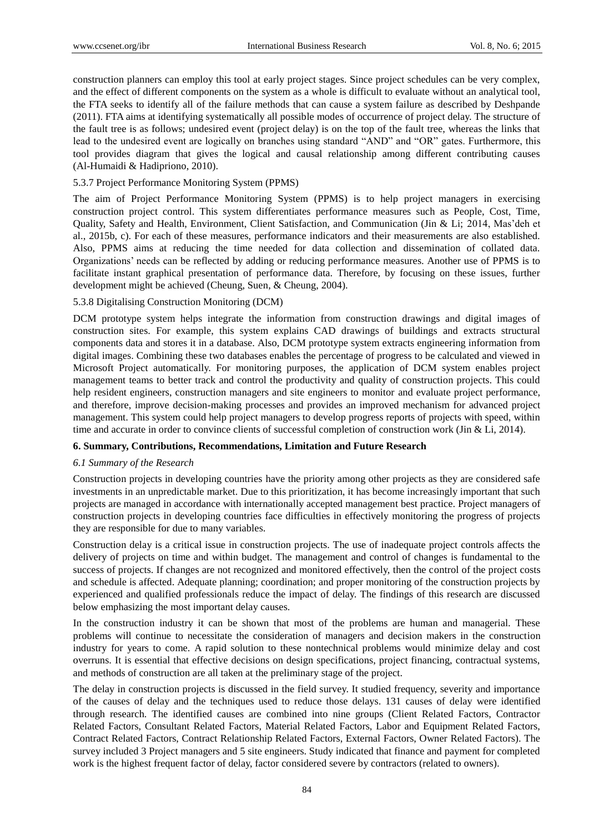construction planners can employ this tool at early project stages. Since project schedules can be very complex, and the effect of different components on the system as a whole is difficult to evaluate without an analytical tool, the FTA seeks to identify all of the failure methods that can cause a system failure as described by Deshpande (2011). FTA aims at identifying systematically all possible modes of occurrence of project delay. The structure of the fault tree is as follows; undesired event (project delay) is on the top of the fault tree, whereas the links that lead to the undesired event are logically on branches using standard "AND" and "OR" gates. Furthermore, this tool provides diagram that gives the logical and causal relationship among different contributing causes (Al-Humaidi & Hadipriono, 2010).

## 5.3.7 Project Performance Monitoring System (PPMS)

The aim of Project Performance Monitoring System (PPMS) is to help project managers in exercising construction project control. This system differentiates performance measures such as People, Cost, Time, Quality, Safety and Health, Environment, Client Satisfaction, and Communication (Jin & Li; 2014, Mas"deh et al., 2015b, c). For each of these measures, performance indicators and their measurements are also established. Also, PPMS aims at reducing the time needed for data collection and dissemination of collated data. Organizations" needs can be reflected by adding or reducing performance measures. Another use of PPMS is to facilitate instant graphical presentation of performance data. Therefore, by focusing on these issues, further development might be achieved (Cheung, Suen, & Cheung, 2004).

## 5.3.8 Digitalising Construction Monitoring (DCM)

DCM prototype system helps integrate the information from construction drawings and digital images of construction sites. For example, this system explains CAD drawings of buildings and extracts structural components data and stores it in a database. Also, DCM prototype system extracts engineering information from digital images. Combining these two databases enables the percentage of progress to be calculated and viewed in Microsoft Project automatically. For monitoring purposes, the application of DCM system enables project management teams to better track and control the productivity and quality of construction projects. This could help resident engineers, construction managers and site engineers to monitor and evaluate project performance, and therefore, improve decision-making processes and provides an improved mechanism for advanced project management. This system could help project managers to develop progress reports of projects with speed, within time and accurate in order to convince clients of successful completion of construction work (Jin & Li, 2014).

## **6. Summary, Contributions, Recommendations, Limitation and Future Research**

## *6.1 Summary of the Research*

Construction projects in developing countries have the priority among other projects as they are considered safe investments in an unpredictable market. Due to this prioritization, it has become increasingly important that such projects are managed in accordance with internationally accepted management best practice. Project managers of construction projects in developing countries face difficulties in effectively monitoring the progress of projects they are responsible for due to many variables.

Construction delay is a critical issue in construction projects. The use of inadequate project controls affects the delivery of projects on time and within budget. The management and control of changes is fundamental to the success of projects. If changes are not recognized and monitored effectively, then the control of the project costs and schedule is affected. Adequate planning; coordination; and proper monitoring of the construction projects by experienced and qualified professionals reduce the impact of delay. The findings of this research are discussed below emphasizing the most important delay causes.

In the construction industry it can be shown that most of the problems are human and managerial. These problems will continue to necessitate the consideration of managers and decision makers in the construction industry for years to come. A rapid solution to these nontechnical problems would minimize delay and cost overruns. It is essential that effective decisions on design specifications, project financing, contractual systems, and methods of construction are all taken at the preliminary stage of the project.

The delay in construction projects is discussed in the field survey. It studied frequency, severity and importance of the causes of delay and the techniques used to reduce those delays. 131 causes of delay were identified through research. The identified causes are combined into nine groups (Client Related Factors, Contractor Related Factors, Consultant Related Factors, Material Related Factors, Labor and Equipment Related Factors, Contract Related Factors, Contract Relationship Related Factors, External Factors, Owner Related Factors). The survey included 3 Project managers and 5 site engineers. Study indicated that finance and payment for completed work is the highest frequent factor of delay, factor considered severe by contractors (related to owners).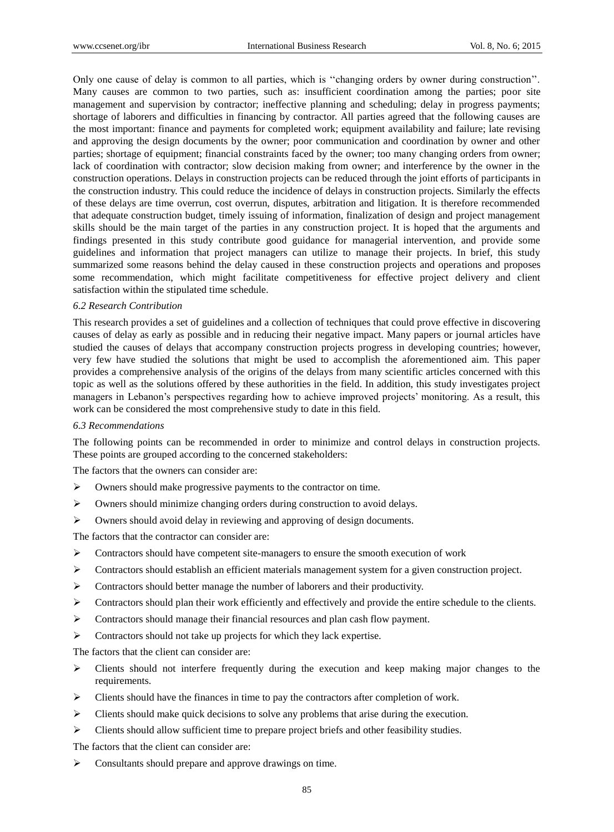Only one cause of delay is common to all parties, which is ""changing orders by owner during construction"". Many causes are common to two parties, such as: insufficient coordination among the parties; poor site management and supervision by contractor; ineffective planning and scheduling; delay in progress payments; shortage of laborers and difficulties in financing by contractor. All parties agreed that the following causes are the most important: finance and payments for completed work; equipment availability and failure; late revising and approving the design documents by the owner; poor communication and coordination by owner and other parties; shortage of equipment; financial constraints faced by the owner; too many changing orders from owner; lack of coordination with contractor; slow decision making from owner; and interference by the owner in the construction operations. Delays in construction projects can be reduced through the joint efforts of participants in the construction industry. This could reduce the incidence of delays in construction projects. Similarly the effects of these delays are time overrun, cost overrun, disputes, arbitration and litigation. It is therefore recommended that adequate construction budget, timely issuing of information, finalization of design and project management skills should be the main target of the parties in any construction project. It is hoped that the arguments and findings presented in this study contribute good guidance for managerial intervention, and provide some guidelines and information that project managers can utilize to manage their projects. In brief, this study summarized some reasons behind the delay caused in these construction projects and operations and proposes some recommendation, which might facilitate competitiveness for effective project delivery and client satisfaction within the stipulated time schedule.

#### *6.2 Research Contribution*

This research provides a set of guidelines and a collection of techniques that could prove effective in discovering causes of delay as early as possible and in reducing their negative impact. Many papers or journal articles have studied the causes of delays that accompany construction projects progress in developing countries; however, very few have studied the solutions that might be used to accomplish the aforementioned aim. This paper provides a comprehensive analysis of the origins of the delays from many scientific articles concerned with this topic as well as the solutions offered by these authorities in the field. In addition, this study investigates project managers in Lebanon's perspectives regarding how to achieve improved projects' monitoring. As a result, this work can be considered the most comprehensive study to date in this field.

#### *6.3 Recommendations*

The following points can be recommended in order to minimize and control delays in construction projects. These points are grouped according to the concerned stakeholders:

The factors that the owners can consider are:

- $\triangleright$  Owners should make progressive payments to the contractor on time.
- Owners should minimize changing orders during construction to avoid delays.
- Owners should avoid delay in reviewing and approving of design documents.

The factors that the contractor can consider are:

- $\triangleright$  Contractors should have competent site-managers to ensure the smooth execution of work
- Contractors should establish an efficient materials management system for a given construction project.
- Contractors should better manage the number of laborers and their productivity.
- $\triangleright$  Contractors should plan their work efficiently and effectively and provide the entire schedule to the clients.
- Contractors should manage their financial resources and plan cash flow payment.
- $\triangleright$  Contractors should not take up projects for which they lack expertise.

The factors that the client can consider are:

- $\triangleright$  Clients should not interfere frequently during the execution and keep making major changes to the requirements.
- $\triangleright$  Clients should have the finances in time to pay the contractors after completion of work.
- $\triangleright$  Clients should make quick decisions to solve any problems that arise during the execution.
- Clients should allow sufficient time to prepare project briefs and other feasibility studies.

The factors that the client can consider are:

 $\triangleright$  Consultants should prepare and approve drawings on time.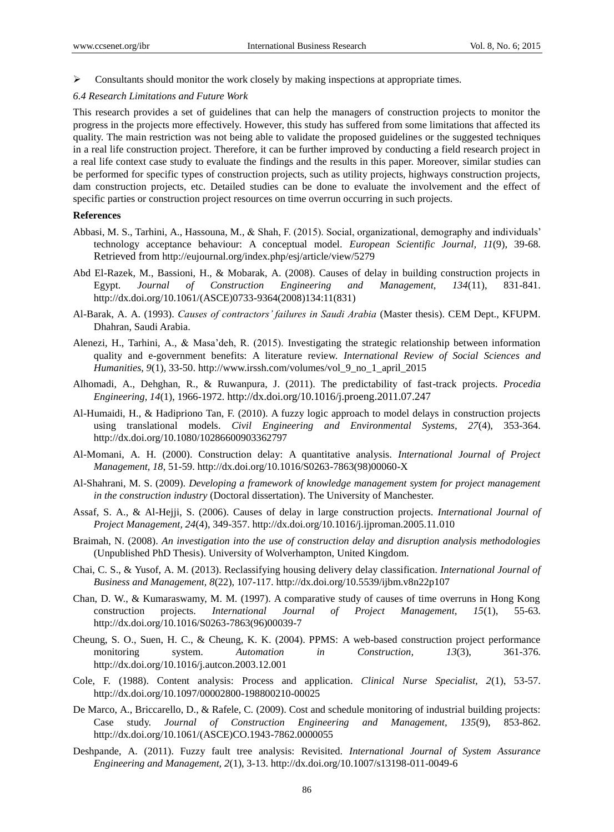$\triangleright$  Consultants should monitor the work closely by making inspections at appropriate times.

#### *6.4 Research Limitations and Future Work*

This research provides a set of guidelines that can help the managers of construction projects to monitor the progress in the projects more effectively. However, this study has suffered from some limitations that affected its quality. The main restriction was not being able to validate the proposed guidelines or the suggested techniques in a real life construction project. Therefore, it can be further improved by conducting a field research project in a real life context case study to evaluate the findings and the results in this paper. Moreover, similar studies can be performed for specific types of construction projects, such as utility projects, highways construction projects, dam construction projects, etc. Detailed studies can be done to evaluate the involvement and the effect of specific parties or construction project resources on time overrun occurring in such projects.

#### **References**

- Abbasi, M. S., Tarhini, A., Hassouna, M., & Shah, F. (2015). Social, organizational, demography and individuals" technology acceptance behaviour: A conceptual model. *European Scientific Journal, 11*(9), 39-68. Retrieved from http://eujournal.org/index.php/esj/article/view/5279
- Abd El-Razek, M., Bassioni, H., & Mobarak, A. (2008). Causes of delay in building construction projects in Egypt. *Journal of Construction Engineering and Management, 134*(11), 831-841. http://dx.doi.org/10.1061/(ASCE)0733-9364(2008)134:11(831)
- Al-Barak, A. A. (1993). *Causes of contractors' failures in Saudi Arabia* (Master thesis). CEM Dept., KFUPM. Dhahran, Saudi Arabia.
- Alenezi, H., Tarhini, A., & Masa"deh, R. (2015). Investigating the strategic relationship between information quality and e-government benefits: A literature review. *International Review of Social Sciences and Humanities, 9*(1), 33-50. http://www.irssh.com/volumes/vol\_9\_no\_1\_april\_2015
- Alhomadi, A., Dehghan, R., & Ruwanpura, J. (2011). The predictability of fast-track projects. *Procedia Engineering, 14*(1), 1966-1972. http://dx.doi.org/10.1016/j.proeng.2011.07.247
- Al-Humaidi, H., & Hadipriono Tan, F. (2010). A fuzzy logic approach to model delays in construction projects using translational models. *Civil Engineering and Environmental Systems, 27*(4), 353-364. http://dx.doi.org/10.1080/10286600903362797
- Al-Momani, A. H. (2000). Construction delay: A quantitative analysis. *International Journal of Project Management, 18*, 51-59. http://dx.doi.org/10.1016/S0263-7863(98)00060-X
- Al-Shahrani, M. S. (2009). *Developing a framework of knowledge management system for project management in the construction industry* (Doctoral dissertation). The University of Manchester.
- Assaf, S. A., & Al-Hejji, S. (2006). Causes of delay in large construction projects. *International Journal of Project Management, 24*(4), 349-357. http://dx.doi.org/10.1016/j.ijproman.2005.11.010
- Braimah, N. (2008). *An investigation into the use of construction delay and disruption analysis methodologies* (Unpublished PhD Thesis). University of Wolverhampton, United Kingdom.
- Chai, C. S., & Yusof, A. M. (2013). Reclassifying housing delivery delay classification. *International Journal of Business and Management, 8*(22), 107-117. http://dx.doi.org/10.5539/ijbm.v8n22p107
- Chan, D. W., & Kumaraswamy, M. M. (1997). A comparative study of causes of time overruns in Hong Kong construction projects. *International Journal of Project Management, 15*(1), 55-63. http://dx.doi.org/10.1016/S0263-7863(96)00039-7
- Cheung, S. O., Suen, H. C., & Cheung, K. K. (2004). PPMS: A web-based construction project performance monitoring system. *Automation in Construction, 13*(3), 361-376. http://dx.doi.org/10.1016/j.autcon.2003.12.001
- Cole, F. (1988). Content analysis: Process and application. *Clinical Nurse Specialist, 2*(1), 53-57. http://dx.doi.org/10.1097/00002800-198800210-00025
- De Marco, A., Briccarello, D., & Rafele, C. (2009). Cost and schedule monitoring of industrial building projects: Case study. *Journal of Construction Engineering and Management, 135*(9), 853-862. http://dx.doi.org/10.1061/(ASCE)CO.1943-7862.0000055
- Deshpande, A. (2011). Fuzzy fault tree analysis: Revisited. *International Journal of System Assurance Engineering and Management, 2*(1), 3-13. http://dx.doi.org/10.1007/s13198-011-0049-6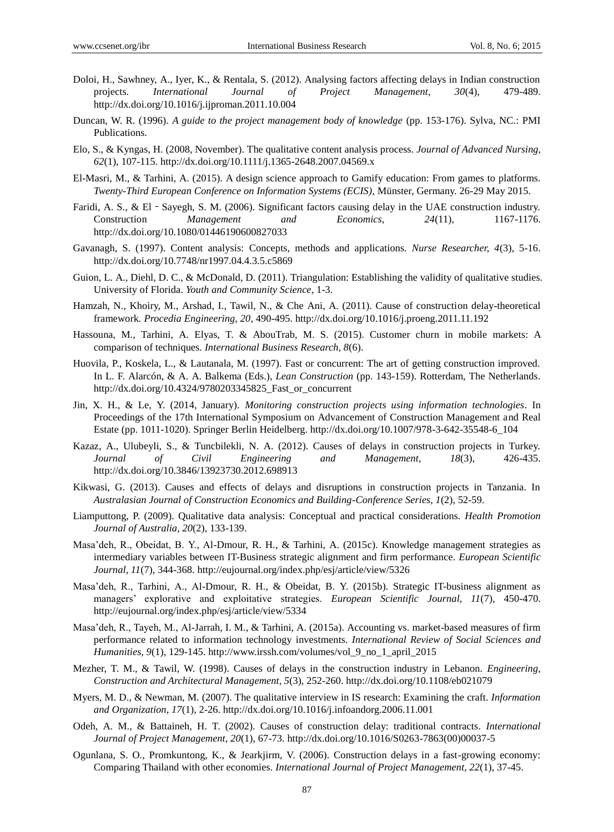- Doloi, H., Sawhney, A., Iyer, K., & Rentala, S. (2012). Analysing factors affecting delays in Indian construction projects. *International Journal of Project Management, 30*(4), 479-489. http://dx.doi.org/10.1016/j.ijproman.2011.10.004
- Duncan, W. R. (1996). *A guide to the project management body of knowledge* (pp. 153-176). Sylva, NC.: PMI Publications.
- Elo, S., & Kyngas, H. (2008, November). The qualitative content analysis process. *Journal of Advanced Nursing, 62*(1), 107-115. http://dx.doi.org/10.1111/j.1365-2648.2007.04569.x
- El-Masri, M., & Tarhini, A. (2015). A design science approach to Gamify education: From games to platforms. *Twenty-Third European Conference on Information Systems (ECIS)*, Münster, Germany. 26-29 May 2015.
- Faridi, A. S., & El Sayegh, S. M. (2006). Significant factors causing delay in the UAE construction industry. Construction *Management and Economics, 24*(11), 1167-1176. http://dx.doi.org/10.1080/01446190600827033
- Gavanagh, S. (1997). Content analysis: Concepts, methods and applications. *Nurse Researcher, 4*(3), 5-16. http://dx.doi.org/10.7748/nr1997.04.4.3.5.c5869
- Guion, L. A., Diehl, D. C., & McDonald, D. (2011). Triangulation: Establishing the validity of qualitative studies. University of Florida. *Youth and Community Science*, 1-3.
- Hamzah, N., Khoiry, M., Arshad, I., Tawil, N., & Che Ani, A. (2011). Cause of construction delay-theoretical framework*. Procedia Engineering, 20*, 490-495. http://dx.doi.org/10.1016/j.proeng.2011.11.192
- Hassouna, M., Tarhini, A. Elyas, T. & AbouTrab, M. S. (2015). Customer churn in mobile markets: A comparison of techniques*. International Business Research, 8*(6).
- Huovila, P., Koskela, L., & Lautanala, M. (1997). Fast or concurrent: The art of getting construction improved. In L. F. Alarcón, & A. A. Balkema (Eds.), *Lean Construction* (pp. 143-159). Rotterdam, The Netherlands. http://dx.doi.org/10.4324/9780203345825\_Fast\_or\_concurrent
- Jin, X. H., & Le, Y. (2014, January). *Monitoring construction projects using information technologies*. In Proceedings of the 17th International Symposium on Advancement of Construction Management and Real Estate (pp. 1011-1020). Springer Berlin Heidelberg. http://dx.doi.org/10.1007/978-3-642-35548-6\_104
- Kazaz, A., Ulubeyli, S., & Tuncbilekli, N. A. (2012). Causes of delays in construction projects in Turkey. *Journal of Civil Engineering and Management, 18*(3), 426-435. http://dx.doi.org/10.3846/13923730.2012.698913
- Kikwasi, G. (2013). Causes and effects of delays and disruptions in construction projects in Tanzania. In *Australasian Journal of Construction Economics and Building-Conference Series, 1*(2), 52-59.
- Liamputtong, P. (2009). Qualitative data analysis: Conceptual and practical considerations. *Health Promotion Journal of Australia, 20*(2), 133-139.
- Masa"deh, R., Obeidat, B. Y., Al-Dmour, R. H., & Tarhini, A. (2015c). Knowledge management strategies as intermediary variables between IT-Business strategic alignment and firm performance. *European Scientific Journal, 11*(7), 344-368. http://eujournal.org/index.php/esj/article/view/5326
- Masa"deh, R., Tarhini, A., Al-Dmour, R. H., & Obeidat, B. Y. (2015b). Strategic IT-business alignment as managers" explorative and exploitative strategies. *European Scientific Journal, 11*(7), 450-470. http://eujournal.org/index.php/esj/article/view/5334
- Masa"deh, R., Tayeh, M., Al-Jarrah, I. M., & Tarhini, A. (2015a). Accounting vs. market-based measures of firm performance related to information technology investments. *International Review of Social Sciences and Humanities, 9*(1), 129-145. http://www.irssh.com/volumes/vol\_9\_no\_1\_april\_2015
- Mezher, T. M., & Tawil, W. (1998). Causes of delays in the construction industry in Lebanon. *Engineering, Construction and Architectural Management, 5*(3), 252-260. http://dx.doi.org/10.1108/eb021079
- Myers, M. D., & Newman, M. (2007). The qualitative interview in IS research: Examining the craft. *Information and Organization, 17*(1), 2-26. http://dx.doi.org/10.1016/j.infoandorg.2006.11.001
- Odeh, A. M., & Battaineh, H. T. (2002). Causes of construction delay: traditional contracts*. International Journal of Project Management, 20*(1), 67-73. http://dx.doi.org/10.1016/S0263-7863(00)00037-5
- Ogunlana, S. O., Promkuntong, K., & Jearkjirm, V. (2006). Construction delays in a fast-growing economy: Comparing Thailand with other economies. *International Journal of Project Management, 22*(1), 37-45.